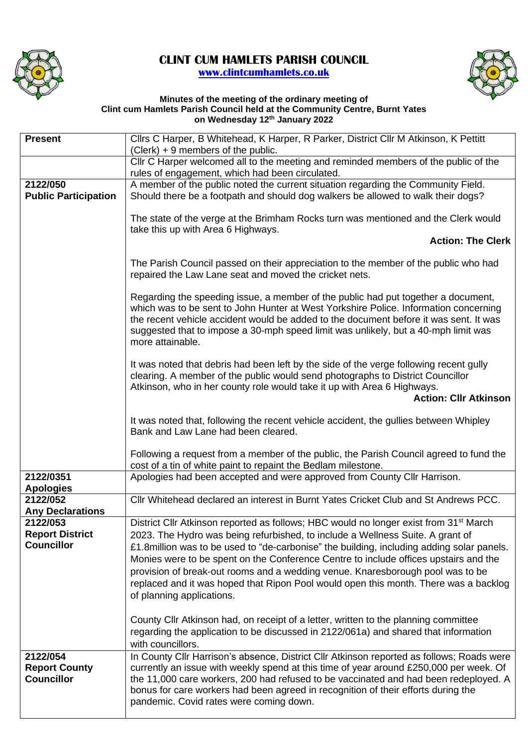

## **CLINT CUM HAMLETS PARISH COUNCIL [www.clintcumhamlets.co.uk](http://www.clintcumhamlets.co.uk/)**



## **Minutes of the meeting of the ordinary meeting of Clint cum Hamlets Parish Council held at the Community Centre, Burnt Yates on Wednesday 12 th January 2022**

| <b>Present</b>                              | Cllrs C Harper, B Whitehead, K Harper, R Parker, District Cllr M Atkinson, K Pettitt<br>(Clerk) + 9 members of the public.                                                                                                                                                                                                                                                   |
|---------------------------------------------|------------------------------------------------------------------------------------------------------------------------------------------------------------------------------------------------------------------------------------------------------------------------------------------------------------------------------------------------------------------------------|
|                                             | Cllr C Harper welcomed all to the meeting and reminded members of the public of the<br>rules of engagement, which had been circulated.                                                                                                                                                                                                                                       |
| 2122/050<br><b>Public Participation</b>     | A member of the public noted the current situation regarding the Community Field.<br>Should there be a footpath and should dog walkers be allowed to walk their dogs?                                                                                                                                                                                                        |
|                                             | The state of the verge at the Brimham Rocks turn was mentioned and the Clerk would<br>take this up with Area 6 Highways.                                                                                                                                                                                                                                                     |
|                                             | <b>Action: The Clerk</b>                                                                                                                                                                                                                                                                                                                                                     |
|                                             | The Parish Council passed on their appreciation to the member of the public who had<br>repaired the Law Lane seat and moved the cricket nets.                                                                                                                                                                                                                                |
|                                             | Regarding the speeding issue, a member of the public had put together a document,<br>which was to be sent to John Hunter at West Yorkshire Police. Information concerning<br>the recent vehicle accident would be added to the document before it was sent. It was<br>suggested that to impose a 30-mph speed limit was unlikely, but a 40-mph limit was<br>more attainable. |
|                                             | It was noted that debris had been left by the side of the verge following recent gully<br>clearing. A member of the public would send photographs to District Councillor<br>Atkinson, who in her county role would take it up with Area 6 Highways.<br><b>Action: Cllr Atkinson</b>                                                                                          |
|                                             | It was noted that, following the recent vehicle accident, the gullies between Whipley<br>Bank and Law Lane had been cleared.                                                                                                                                                                                                                                                 |
|                                             | Following a request from a member of the public, the Parish Council agreed to fund the<br>cost of a tin of white paint to repaint the Bedlam milestone.                                                                                                                                                                                                                      |
| 2122/0351<br><b>Apologies</b>               | Apologies had been accepted and were approved from County Cllr Harrison.                                                                                                                                                                                                                                                                                                     |
| 2122/052<br><b>Any Declarations</b>         | CIIr Whitehead declared an interest in Burnt Yates Cricket Club and St Andrews PCC.                                                                                                                                                                                                                                                                                          |
| 2122/053                                    | District Cllr Atkinson reported as follows; HBC would no longer exist from 31 <sup>st</sup> March                                                                                                                                                                                                                                                                            |
| <b>Report District</b><br><b>Councillor</b> | 2023. The Hydro was being refurbished, to include a Wellness Suite. A grant of<br>£1.8million was to be used to "de-carbonise" the building, including adding solar panels.                                                                                                                                                                                                  |
|                                             | Monies were to be spent on the Conference Centre to include offices upstairs and the                                                                                                                                                                                                                                                                                         |
|                                             | provision of break-out rooms and a wedding venue. Knaresborough pool was to be                                                                                                                                                                                                                                                                                               |
|                                             | replaced and it was hoped that Ripon Pool would open this month. There was a backlog<br>of planning applications.                                                                                                                                                                                                                                                            |
|                                             |                                                                                                                                                                                                                                                                                                                                                                              |
|                                             | County Cllr Atkinson had, on receipt of a letter, written to the planning committee<br>regarding the application to be discussed in 2122/061a) and shared that information<br>with councillors.                                                                                                                                                                              |
| 2122/054                                    | In County Cllr Harrison's absence, District Cllr Atkinson reported as follows; Roads were                                                                                                                                                                                                                                                                                    |
| <b>Report County</b><br><b>Councillor</b>   | currently an issue with weekly spend at this time of year around £250,000 per week. Of<br>the 11,000 care workers, 200 had refused to be vaccinated and had been redeployed. A<br>bonus for care workers had been agreed in recognition of their efforts during the<br>pandemic. Covid rates were coming down.                                                               |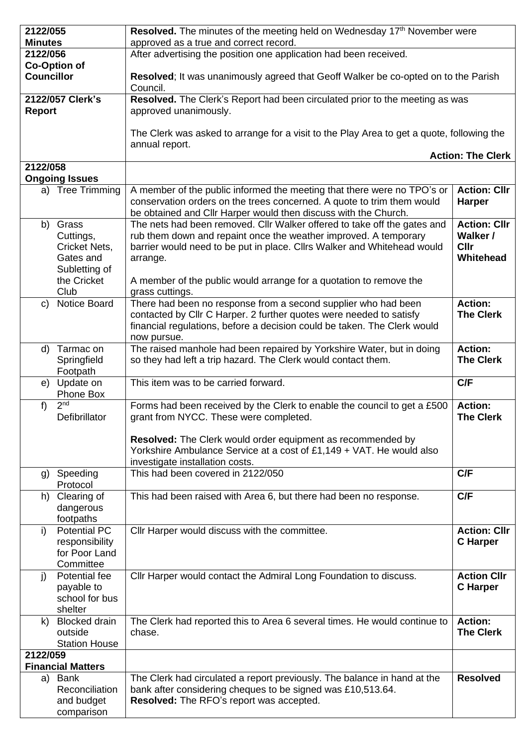| 2122/055          |                              | Resolved. The minutes of the meeting held on Wednesday 17 <sup>th</sup> November were                                                        |                                 |  |
|-------------------|------------------------------|----------------------------------------------------------------------------------------------------------------------------------------------|---------------------------------|--|
| <b>Minutes</b>    |                              | approved as a true and correct record.                                                                                                       |                                 |  |
| 2122/056          |                              | After advertising the position one application had been received.                                                                            |                                 |  |
|                   | <b>Co-Option of</b>          |                                                                                                                                              |                                 |  |
| <b>Councillor</b> |                              | Resolved; It was unanimously agreed that Geoff Walker be co-opted on to the Parish                                                           |                                 |  |
|                   | 2122/057 Clerk's             | Council.<br>Resolved. The Clerk's Report had been circulated prior to the meeting as was                                                     |                                 |  |
| <b>Report</b>     |                              | approved unanimously.                                                                                                                        |                                 |  |
|                   |                              |                                                                                                                                              |                                 |  |
|                   |                              | The Clerk was asked to arrange for a visit to the Play Area to get a quote, following the                                                    |                                 |  |
|                   |                              | annual report.                                                                                                                               |                                 |  |
|                   |                              |                                                                                                                                              | <b>Action: The Clerk</b>        |  |
| 2122/058          |                              |                                                                                                                                              |                                 |  |
|                   | <b>Ongoing Issues</b>        |                                                                                                                                              |                                 |  |
|                   | a) Tree Trimming             | A member of the public informed the meeting that there were no TPO's or                                                                      | <b>Action: Cllr</b>             |  |
|                   |                              | conservation orders on the trees concerned. A quote to trim them would                                                                       | <b>Harper</b>                   |  |
|                   |                              | be obtained and Cllr Harper would then discuss with the Church.                                                                              |                                 |  |
|                   | b) Grass                     | The nets had been removed. Cllr Walker offered to take off the gates and<br>rub them down and repaint once the weather improved. A temporary | <b>Action: Cllr</b><br>Walker / |  |
|                   | Cuttings,<br>Cricket Nets,   | barrier would need to be put in place. Cllrs Walker and Whitehead would                                                                      | <b>Cllr</b>                     |  |
|                   | Gates and                    | arrange.                                                                                                                                     | Whitehead                       |  |
|                   | Subletting of                |                                                                                                                                              |                                 |  |
|                   | the Cricket                  | A member of the public would arrange for a quotation to remove the                                                                           |                                 |  |
|                   | Club                         | grass cuttings.                                                                                                                              |                                 |  |
| C)                | Notice Board                 | There had been no response from a second supplier who had been                                                                               | <b>Action:</b>                  |  |
|                   |                              | contacted by Cllr C Harper. 2 further quotes were needed to satisfy                                                                          | <b>The Clerk</b>                |  |
|                   |                              | financial regulations, before a decision could be taken. The Clerk would                                                                     |                                 |  |
|                   |                              | now pursue.                                                                                                                                  |                                 |  |
| d)                | Tarmac on                    | The raised manhole had been repaired by Yorkshire Water, but in doing                                                                        | <b>Action:</b>                  |  |
|                   | Springfield                  | so they had left a trip hazard. The Clerk would contact them.                                                                                | <b>The Clerk</b>                |  |
| e)                | Footpath<br>Update on        | This item was to be carried forward.                                                                                                         | C/F                             |  |
|                   | Phone Box                    |                                                                                                                                              |                                 |  |
| $f$ )             | 2 <sub>nd</sub>              | Forms had been received by the Clerk to enable the council to get a £500                                                                     | <b>Action:</b>                  |  |
|                   | Defibrillator                | grant from NYCC. These were completed.                                                                                                       | <b>The Clerk</b>                |  |
|                   |                              |                                                                                                                                              |                                 |  |
|                   |                              | Resolved: The Clerk would order equipment as recommended by                                                                                  |                                 |  |
|                   |                              | Yorkshire Ambulance Service at a cost of £1,149 + VAT. He would also                                                                         |                                 |  |
|                   |                              | investigate installation costs.<br>This had been covered in 2122/050                                                                         | C/F                             |  |
|                   | g) Speeding<br>Protocol      |                                                                                                                                              |                                 |  |
|                   | h) Clearing of               | This had been raised with Area 6, but there had been no response.                                                                            | C/F                             |  |
|                   | dangerous                    |                                                                                                                                              |                                 |  |
|                   | footpaths                    |                                                                                                                                              |                                 |  |
| $\mathsf{i}$      | <b>Potential PC</b>          | Cllr Harper would discuss with the committee.                                                                                                | <b>Action: Cllr</b>             |  |
|                   | responsibility               |                                                                                                                                              | <b>C</b> Harper                 |  |
|                   | for Poor Land                |                                                                                                                                              |                                 |  |
|                   | Committee                    |                                                                                                                                              |                                 |  |
| i)                | Potential fee                | Cllr Harper would contact the Admiral Long Foundation to discuss.                                                                            | <b>Action Cllr</b>              |  |
|                   | payable to<br>school for bus |                                                                                                                                              | <b>C</b> Harper                 |  |
|                   | shelter                      |                                                                                                                                              |                                 |  |
| k)                | <b>Blocked drain</b>         | The Clerk had reported this to Area 6 several times. He would continue to                                                                    | <b>Action:</b>                  |  |
|                   | outside                      | chase.                                                                                                                                       | <b>The Clerk</b>                |  |
|                   | <b>Station House</b>         |                                                                                                                                              |                                 |  |
| 2122/059          |                              |                                                                                                                                              |                                 |  |
|                   | <b>Financial Matters</b>     |                                                                                                                                              |                                 |  |
|                   | a) Bank                      | The Clerk had circulated a report previously. The balance in hand at the                                                                     | <b>Resolved</b>                 |  |
|                   | Reconciliation               | bank after considering cheques to be signed was £10,513.64.                                                                                  |                                 |  |
|                   | and budget                   | Resolved: The RFO's report was accepted.                                                                                                     |                                 |  |
|                   | comparison                   |                                                                                                                                              |                                 |  |